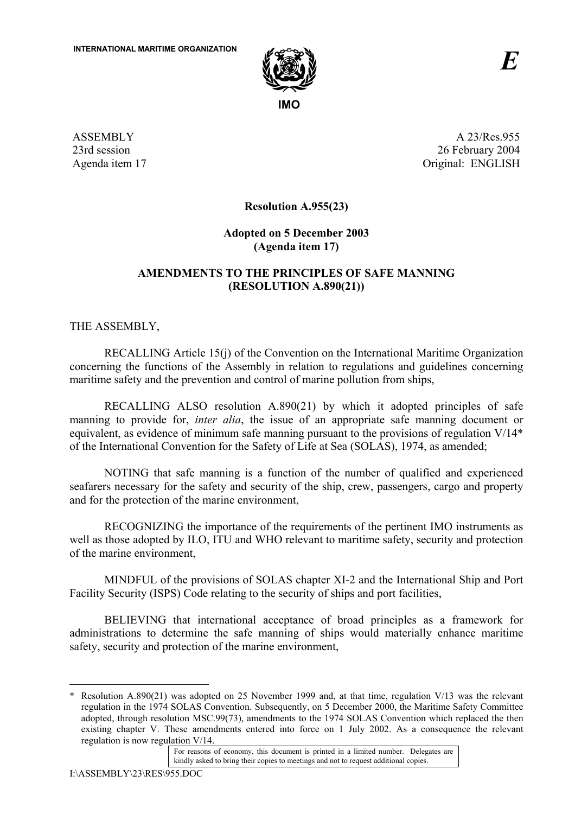

ASSEMBLY 23rd session Agenda item 17

A 23/Res.955 26 February 2004 Original: ENGLISH

**Resolution A.955(23)** 

# **Adopted on 5 December 2003 (Agenda item 17)**

# **AMENDMENTS TO THE PRINCIPLES OF SAFE MANNING (RESOLUTION A.890(21))**

THE ASSEMBLY,

RECALLING Article 15(j) of the Convention on the International Maritime Organization concerning the functions of the Assembly in relation to regulations and guidelines concerning maritime safety and the prevention and control of marine pollution from ships,

RECALLING ALSO resolution A.890(21) by which it adopted principles of safe manning to provide for, *inter alia*, the issue of an appropriate safe manning document or equivalent, as evidence of minimum safe manning pursuant to the provisions of regulation V/14\* of the International Convention for the Safety of Life at Sea (SOLAS), 1974, as amended;

NOTING that safe manning is a function of the number of qualified and experienced seafarers necessary for the safety and security of the ship, crew, passengers, cargo and property and for the protection of the marine environment,

RECOGNIZING the importance of the requirements of the pertinent IMO instruments as well as those adopted by ILO, ITU and WHO relevant to maritime safety, security and protection of the marine environment,

MINDFUL of the provisions of SOLAS chapter XI-2 and the International Ship and Port Facility Security (ISPS) Code relating to the security of ships and port facilities,

BELIEVING that international acceptance of broad principles as a framework for administrations to determine the safe manning of ships would materially enhance maritime safety, security and protection of the marine environment,

 $\overline{a}$ \* Resolution A.890(21) was adopted on 25 November 1999 and, at that time, regulation V/13 was the relevant regulation in the 1974 SOLAS Convention. Subsequently, on 5 December 2000, the Maritime Safety Committee adopted, through resolution MSC.99(73), amendments to the 1974 SOLAS Convention which replaced the then existing chapter V. These amendments entered into force on 1 July 2002. As a consequence the relevant regulation is now regulation V/14.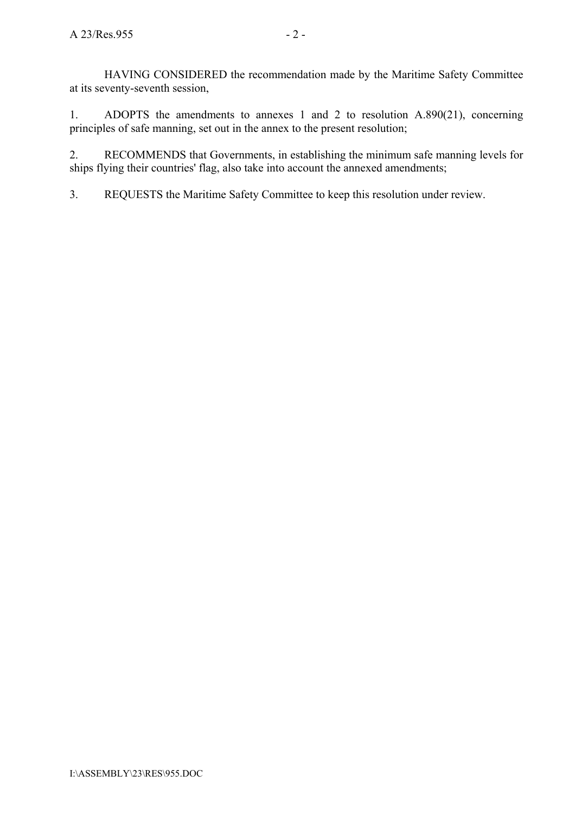HAVING CONSIDERED the recommendation made by the Maritime Safety Committee at its seventy-seventh session,

1. ADOPTS the amendments to annexes 1 and 2 to resolution A.890(21), concerning principles of safe manning, set out in the annex to the present resolution;

2. RECOMMENDS that Governments, in establishing the minimum safe manning levels for ships flying their countries' flag, also take into account the annexed amendments;

3. REQUESTS the Maritime Safety Committee to keep this resolution under review.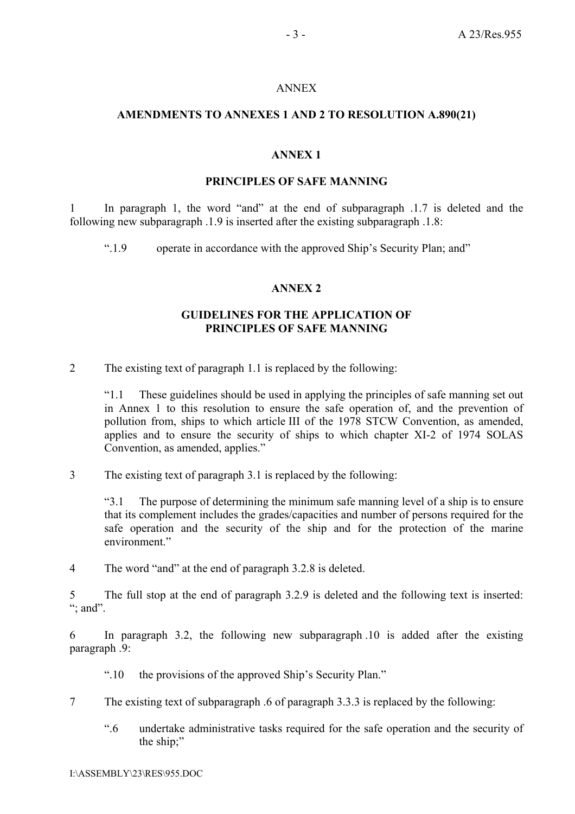#### ANNEX

### **AMENDMENTS TO ANNEXES 1 AND 2 TO RESOLUTION A.890(21)**

## **ANNEX 1**

#### **PRINCIPLES OF SAFE MANNING**

1 In paragraph 1, the word "and" at the end of subparagraph .1.7 is deleted and the following new subparagraph .1.9 is inserted after the existing subparagraph .1.8:

".1.9 operate in accordance with the approved Ship's Security Plan; and "

### **ANNEX 2**

### **GUIDELINES FOR THE APPLICATION OF PRINCIPLES OF SAFE MANNING**

2 The existing text of paragraph 1.1 is replaced by the following:

ì1.1 These guidelines should be used in applying the principles of safe manning set out in Annex 1 to this resolution to ensure the safe operation of, and the prevention of pollution from, ships to which article III of the 1978 STCW Convention, as amended, applies and to ensure the security of ships to which chapter XI-2 of 1974 SOLAS Convention, as amended, applies."

3 The existing text of paragraph 3.1 is replaced by the following:

ì3.1 The purpose of determining the minimum safe manning level of a ship is to ensure that its complement includes the grades/capacities and number of persons required for the safe operation and the security of the ship and for the protection of the marine environment.<sup>"</sup>

4 The word "and" at the end of paragraph 3.2.8 is deleted.

5 The full stop at the end of paragraph 3.2.9 is deleted and the following text is inserted:  $\dddot{\mathbf{a}}$ ; and  $\dddot{\mathbf{a}}$ .

6 In paragraph 3.2, the following new subparagraph .10 is added after the existing paragraph .9:

- ".10 the provisions of the approved Ship's Security Plan."
- 7 The existing text of subparagraph .6 of paragraph 3.3.3 is replaced by the following:
	- ì.6 undertake administrative tasks required for the safe operation and the security of the ship;"